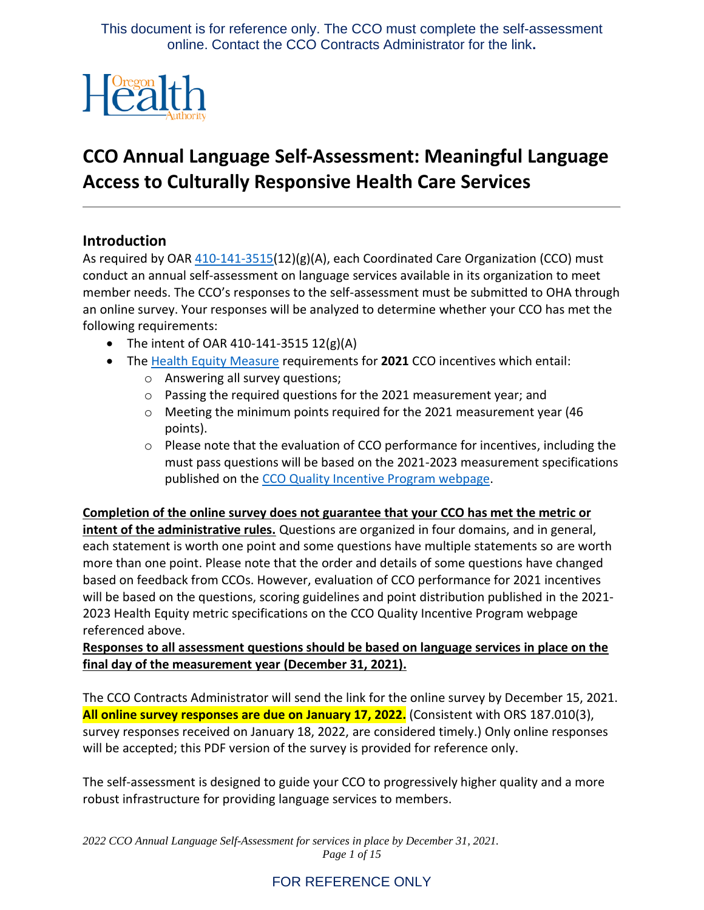

# **CCO Annual Language Self-Assessment: Meaningful Language Access to Culturally Responsive Health Care Services**

### **Introduction**

referenced above.

As required by OAR [410-141-3515\(](https://secure.sos.state.or.us/oard/view.action?ruleNumber=410-141-3515)12)(g)(A), each Coordinated Care Organization (CCO) must conduct an annual self-assessment on language services available in its organization to meet member needs. The CCO's responses to the self-assessment must be submitted to OHA through an online survey. Your responses will be analyzed to determine whether your CCO has met the following requirements:

- The intent of OAR 410-141-3515  $12(g)(A)$
- The [Health Equity](https://www.oregon.gov/oha/HPA/ANALYTICS/CCOMetrics/2021-2023-specs-(Health-Equity-Meaningful-Access)-20201229.pdf) Measure requirements for **2021** CCO incentives which entail:
	- o Answering all survey questions;
	- o Passing the required questions for the 2021 measurement year; and
	- $\circ$  Meeting the minimum points required for the 2021 measurement year (46 points).
	- o Please note that the evaluation of CCO performance for incentives, including the must pass questions will be based on the 2021-2023 measurement specifications published on the [CCO Quality Incentive Program](https://www.oregon.gov/oha/hpa/analytics/pages/cco-metrics.aspx) webpage.

**Completion of the online survey does not guarantee that your CCO has met the metric or intent of the administrative rules.** Questions are organized in four domains, and in general, each statement is worth one point and some questions have multiple statements so are worth more than one point. Please note that the order and details of some questions have changed based on feedback from CCOs. However, evaluation of CCO performance for 2021 incentives will be based on the questions, scoring guidelines and point distribution published in the 2021- 2023 Health Equity metric specifications on the CCO Quality Incentive Program webpage

# **Responses to all assessment questions should be based on language services in place on the final day of the measurement year (December 31, 2021).**

The CCO Contracts Administrator will send the link for the online survey by December 15, 2021. **All online survey responses are due on January 17, 2022.** (Consistent with ORS 187.010(3), survey responses received on January 18, 2022, are considered timely.) Only online responses will be accepted; this PDF version of the survey is provided for reference only.

The self-assessment is designed to guide your CCO to progressively higher quality and a more robust infrastructure for providing language services to members.

*2022 CCO Annual Language Self-Assessment for services in place by December 31, 2021. Page 1 of 15*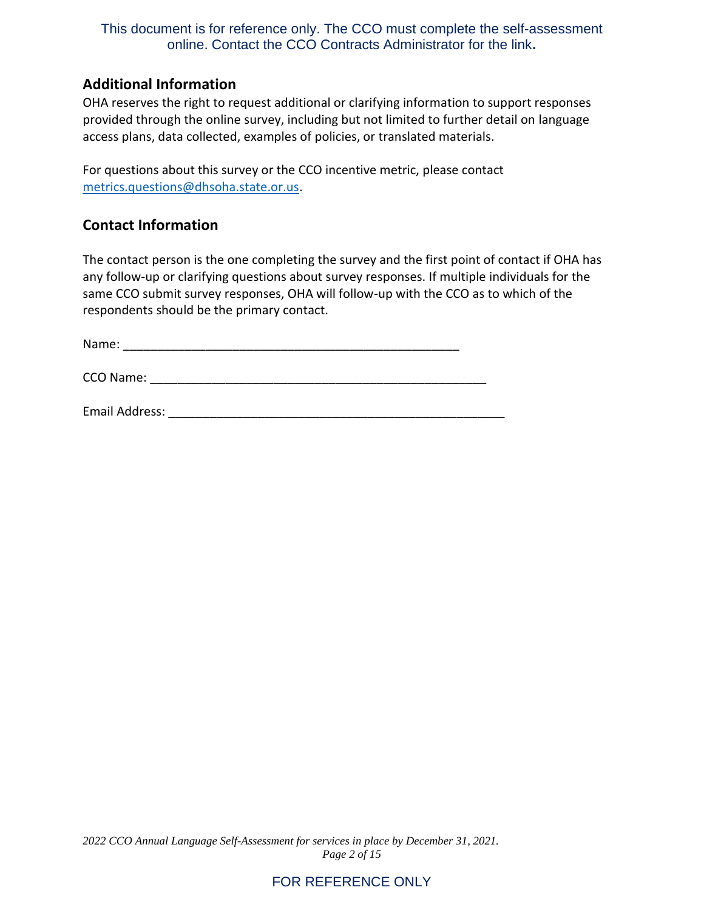### **Additional Information**

OHA reserves the right to request additional or clarifying information to support responses provided through the online survey, including but not limited to further detail on language access plans, data collected, examples of policies, or translated materials.

For questions about this survey or the CCO incentive metric, please contact [metrics.questions@dhsoha.state.or.us.](mailto:metrics.questions@dhsoha.state.or.us)

### **Contact Information**

The contact person is the one completing the survey and the first point of contact if OHA has any follow-up or clarifying questions about survey responses. If multiple individuals for the same CCO submit survey responses, OHA will follow-up with the CCO as to which of the respondents should be the primary contact.

Name: \_\_\_\_\_\_\_\_\_\_\_\_\_\_\_\_\_\_\_\_\_\_\_\_\_\_\_\_\_\_\_\_\_\_\_\_\_\_\_\_\_\_\_\_\_\_\_\_\_

CCO Name: <u>and</u> the set of the set of the set of the set of the set of the set of the set of the set of the set of the set of the set of the set of the set of the set of the set of the set of the set of the set of the set

Email Address: **Email Address:** 2002 and 2008 and 2008 and 2008 and 2008 and 2008 and 2008 and 2008 and 2008 and 2008 and 2008 and 2008 and 2008 and 2008 and 2008 and 2008 and 2008 and 2008 and 2008 and 2008 and 2008 and 2

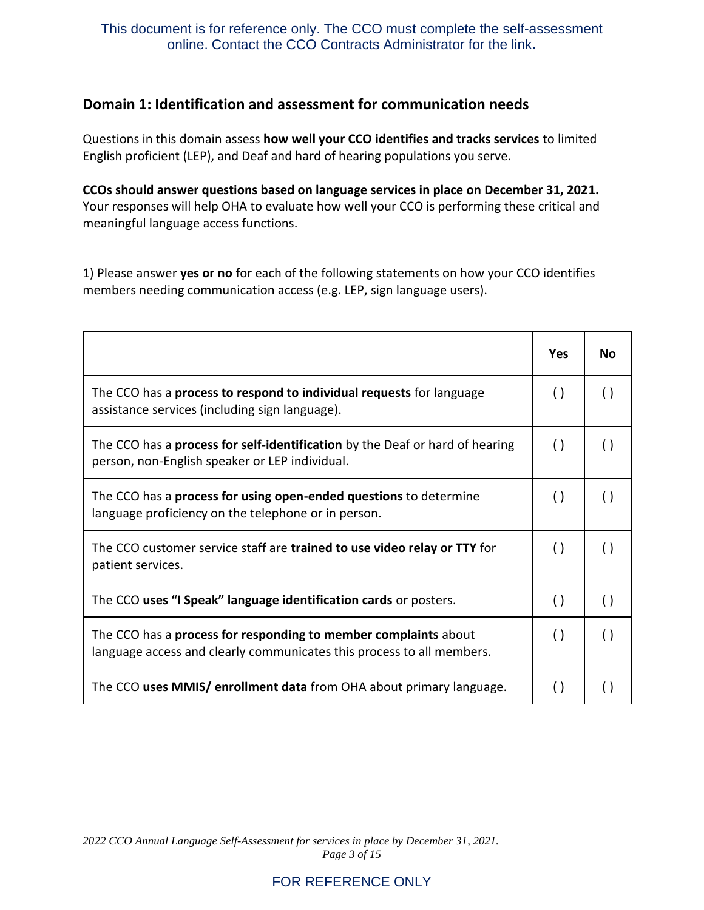### **Domain 1: Identification and assessment for communication needs**

Questions in this domain assess **how well your CCO identifies and tracks services** to limited English proficient (LEP), and Deaf and hard of hearing populations you serve.

**CCOs should answer questions based on language services in place on December 31, 2021.** Your responses will help OHA to evaluate how well your CCO is performing these critical and meaningful language access functions.

1) Please answer **yes or no** for each of the following statements on how your CCO identifies members needing communication access (e.g. LEP, sign language users).

|                                                                                                                                          | Yes                | <b>No</b>          |
|------------------------------------------------------------------------------------------------------------------------------------------|--------------------|--------------------|
| The CCO has a process to respond to individual requests for language<br>assistance services (including sign language).                   | $\left( \ \right)$ |                    |
| The CCO has a <b>process for self-identification</b> by the Deaf or hard of hearing<br>person, non-English speaker or LEP individual.    | $\left( \ \right)$ |                    |
| The CCO has a <b>process for using open-ended questions</b> to determine<br>language proficiency on the telephone or in person.          | $\left( \right)$   | $\left( \ \right)$ |
| The CCO customer service staff are trained to use video relay or TTY for<br>patient services.                                            | $\left( \ \right)$ |                    |
| The CCO uses "I Speak" language identification cards or posters.                                                                         | $\left( \ \right)$ | $\left( \ \right)$ |
| The CCO has a process for responding to member complaints about<br>language access and clearly communicates this process to all members. | $\left( \ \right)$ | $\left( \right)$   |
| The CCO uses MMIS/ enrollment data from OHA about primary language.                                                                      |                    |                    |

*2022 CCO Annual Language Self-Assessment for services in place by December 31, 2021. Page 3 of 15*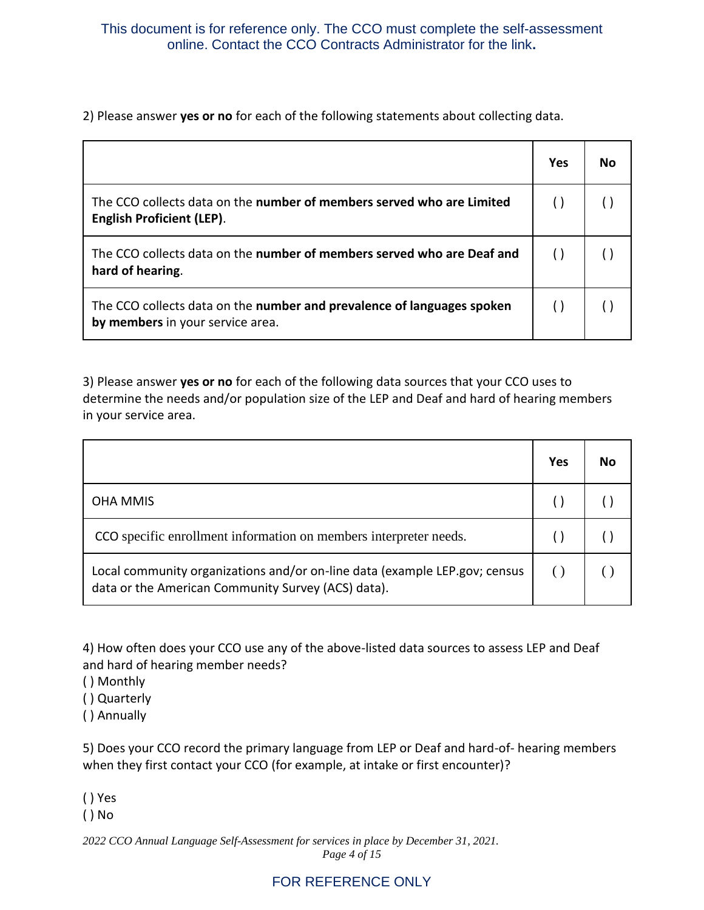2) Please answer **yes or no** for each of the following statements about collecting data.

|                                                                                                            | Yes | Nο |
|------------------------------------------------------------------------------------------------------------|-----|----|
| The CCO collects data on the number of members served who are Limited<br><b>English Proficient (LEP).</b>  |     |    |
| The CCO collects data on the number of members served who are Deaf and<br>hard of hearing.                 |     |    |
| The CCO collects data on the number and prevalence of languages spoken<br>by members in your service area. |     |    |

3) Please answer **yes or no** for each of the following data sources that your CCO uses to determine the needs and/or population size of the LEP and Deaf and hard of hearing members in your service area.

|                                                                                                                                  | Yes | No |
|----------------------------------------------------------------------------------------------------------------------------------|-----|----|
| <b>OHA MMIS</b>                                                                                                                  |     |    |
| CCO specific enrollment information on members interpreter needs.                                                                |     |    |
| Local community organizations and/or on-line data (example LEP.gov; census<br>data or the American Community Survey (ACS) data). |     |    |

4) How often does your CCO use any of the above-listed data sources to assess LEP and Deaf and hard of hearing member needs?

- ( ) Monthly
- ( ) Quarterly

( ) Annually

5) Does your CCO record the primary language from LEP or Deaf and hard-of- hearing members when they first contact your CCO (for example, at intake or first encounter)?

( ) Yes

( ) No

*2022 CCO Annual Language Self-Assessment for services in place by December 31, 2021. Page 4 of 15*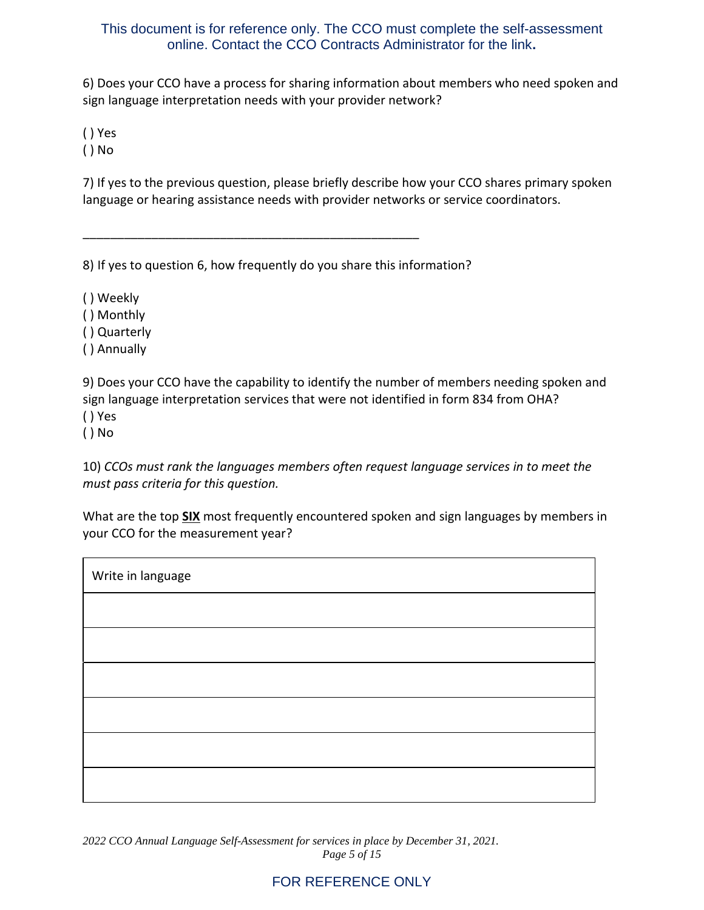6) Does your CCO have a process for sharing information about members who need spoken and sign language interpretation needs with your provider network?

( ) Yes

( ) No

7) If yes to the previous question, please briefly describe how your CCO shares primary spoken language or hearing assistance needs with provider networks or service coordinators.

8) If yes to question 6, how frequently do you share this information?

\_\_\_\_\_\_\_\_\_\_\_\_\_\_\_\_\_\_\_\_\_\_\_\_\_\_\_\_\_\_\_\_\_\_\_\_\_\_\_\_\_\_\_\_\_\_\_\_\_

( ) Weekly

( ) Monthly

( ) Quarterly

( ) Annually

9) Does your CCO have the capability to identify the number of members needing spoken and sign language interpretation services that were not identified in form 834 from OHA?

( ) Yes

( ) No

10) *CCOs must rank the languages members often request language services in to meet the must pass criteria for this question.*

What are the top **SIX** most frequently encountered spoken and sign languages by members in your CCO for the measurement year?

| Write in language |  |
|-------------------|--|
|                   |  |
|                   |  |
|                   |  |
|                   |  |
|                   |  |
|                   |  |

*2022 CCO Annual Language Self-Assessment for services in place by December 31, 2021. Page 5 of 15*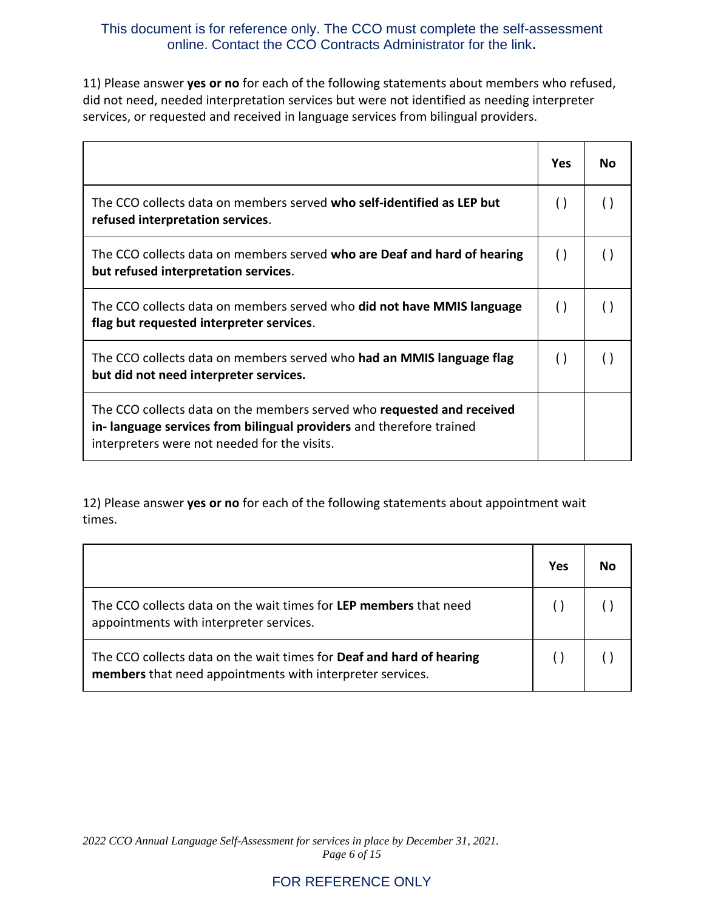11) Please answer **yes or no** for each of the following statements about members who refused, did not need, needed interpretation services but were not identified as needing interpreter services, or requested and received in language services from bilingual providers.

|                                                                                                                                                                                                      | Yes                | N٥ |
|------------------------------------------------------------------------------------------------------------------------------------------------------------------------------------------------------|--------------------|----|
| The CCO collects data on members served who self-identified as LEP but<br>refused interpretation services.                                                                                           | $\left( \right)$   |    |
| The CCO collects data on members served who are Deaf and hard of hearing<br>but refused interpretation services.                                                                                     | $\left( \ \right)$ |    |
| The CCO collects data on members served who did not have MMIS language<br>flag but requested interpreter services.                                                                                   | $\left( \ \right)$ |    |
| The CCO collects data on members served who had an MMIS language flag<br>but did not need interpreter services.                                                                                      | $\left( \ \right)$ |    |
| The CCO collects data on the members served who <b>requested and received</b><br>in-language services from bilingual providers and therefore trained<br>interpreters were not needed for the visits. |                    |    |

12) Please answer **yes or no** for each of the following statements about appointment wait times.

|                                                                                                                                   | Yes | Nο |
|-----------------------------------------------------------------------------------------------------------------------------------|-----|----|
| The CCO collects data on the wait times for LEP members that need<br>appointments with interpreter services.                      |     |    |
| The CCO collects data on the wait times for Deaf and hard of hearing<br>members that need appointments with interpreter services. |     |    |

*2022 CCO Annual Language Self-Assessment for services in place by December 31, 2021. Page 6 of 15*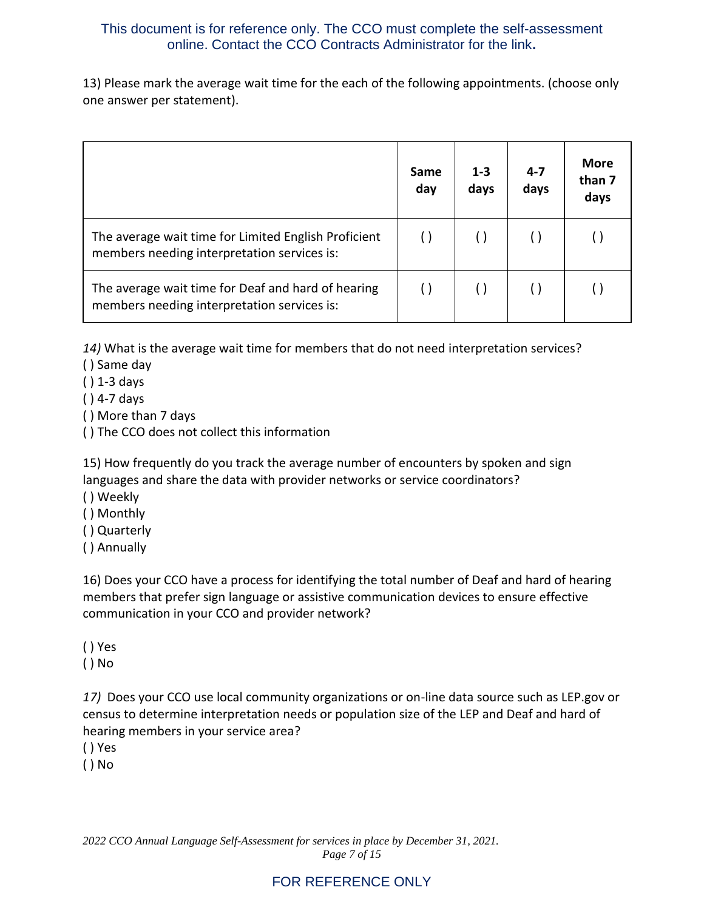13) Please mark the average wait time for the each of the following appointments. (choose only one answer per statement).

|                                                                                                     | Same<br>day | $1 - 3$<br>days | $4 - 7$<br>days | <b>More</b><br>than 7<br>days |
|-----------------------------------------------------------------------------------------------------|-------------|-----------------|-----------------|-------------------------------|
| The average wait time for Limited English Proficient<br>members needing interpretation services is: |             |                 |                 |                               |
| The average wait time for Deaf and hard of hearing<br>members needing interpretation services is:   |             |                 |                 |                               |

*14)* What is the average wait time for members that do not need interpretation services?

- ( ) Same day
- ( ) 1-3 days
- ( ) 4-7 days
- ( ) More than 7 days
- ( ) The CCO does not collect this information

15) How frequently do you track the average number of encounters by spoken and sign languages and share the data with provider networks or service coordinators?

- ( ) Weekly
- ( ) Monthly
- ( ) Quarterly
- ( ) Annually

16) Does your CCO have a process for identifying the total number of Deaf and hard of hearing members that prefer sign language or assistive communication devices to ensure effective communication in your CCO and provider network?

( ) Yes

( ) No

*17)* Does your CCO use local community organizations or on-line data source such as LEP.gov or census to determine interpretation needs or population size of the LEP and Deaf and hard of hearing members in your service area?

( ) Yes

( ) No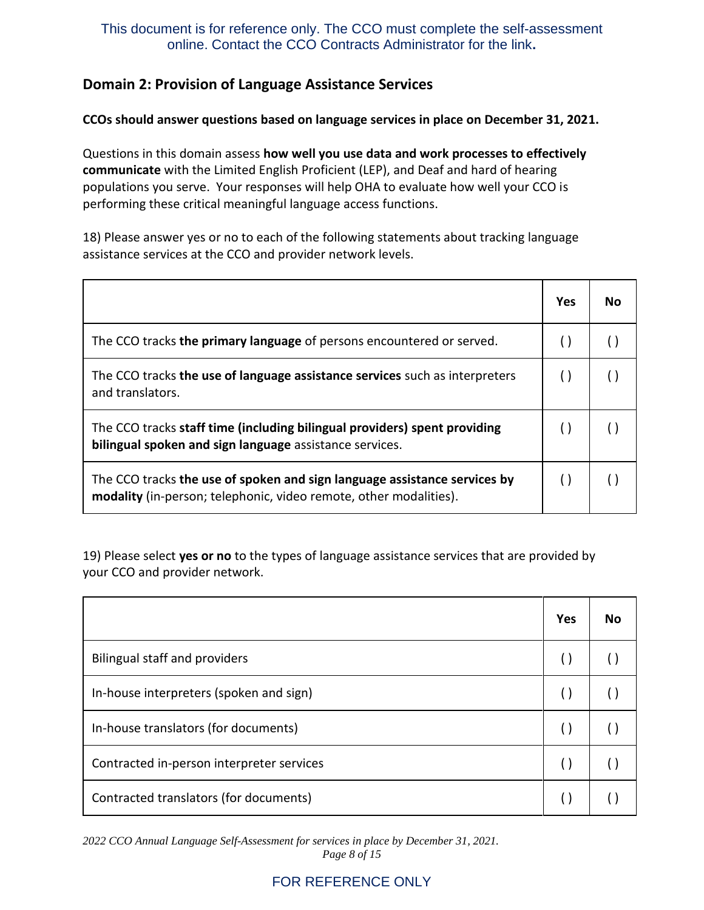# **Domain 2: Provision of Language Assistance Services**

#### **CCOs should answer questions based on language services in place on December 31, 2021.**

Questions in this domain assess **how well you use data and work processes to effectively communicate** with the Limited English Proficient (LEP), and Deaf and hard of hearing populations you serve. Your responses will help OHA to evaluate how well your CCO is performing these critical meaningful language access functions.

18) Please answer yes or no to each of the following statements about tracking language assistance services at the CCO and provider network levels.

|                                                                                                                                                | Yes | N٥ |
|------------------------------------------------------------------------------------------------------------------------------------------------|-----|----|
| The CCO tracks the primary language of persons encountered or served.                                                                          |     |    |
| The CCO tracks the use of language assistance services such as interpreters<br>and translators.                                                |     |    |
| The CCO tracks staff time (including bilingual providers) spent providing<br>bilingual spoken and sign language assistance services.           |     |    |
| The CCO tracks the use of spoken and sign language assistance services by<br>modality (in-person; telephonic, video remote, other modalities). |     |    |

19) Please select **yes or no** to the types of language assistance services that are provided by your CCO and provider network.

|                                           | Yes | No |
|-------------------------------------------|-----|----|
| <b>Bilingual staff and providers</b>      |     |    |
| In-house interpreters (spoken and sign)   |     |    |
| In-house translators (for documents)      |     |    |
| Contracted in-person interpreter services |     |    |
| Contracted translators (for documents)    |     |    |

*2022 CCO Annual Language Self-Assessment for services in place by December 31, 2021. Page 8 of 15*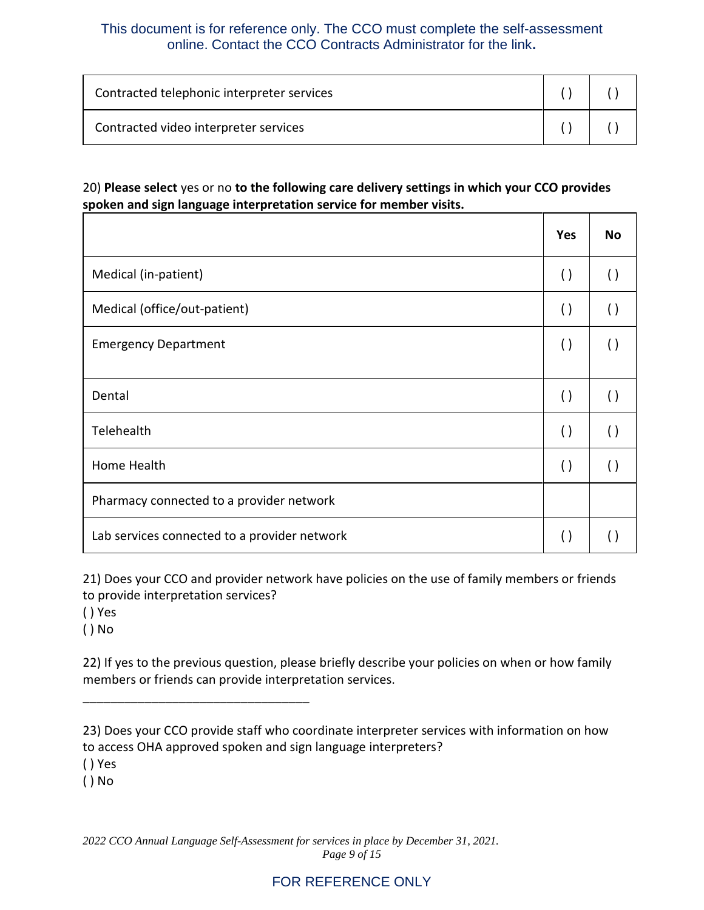| Contracted telephonic interpreter services |  |
|--------------------------------------------|--|
| Contracted video interpreter services      |  |

#### 20) **Please select** yes or no **to the following care delivery settings in which your CCO provides spoken and sign language interpretation service for member visits.**

|                                              | Yes                | <b>No</b>          |
|----------------------------------------------|--------------------|--------------------|
| Medical (in-patient)                         | $\left( \ \right)$ | $\left( \ \right)$ |
| Medical (office/out-patient)                 | $\left( \ \right)$ | $\left( \ \right)$ |
| <b>Emergency Department</b>                  | $\left( \ \right)$ | $\left( \ \right)$ |
| Dental                                       | $\left( \ \right)$ | $\left( \ \right)$ |
| Telehealth                                   | $\left( \ \right)$ | $\left( \ \right)$ |
| Home Health                                  | $\left( \ \right)$ | $\left( \ \right)$ |
| Pharmacy connected to a provider network     |                    |                    |
| Lab services connected to a provider network | $\left(\right)$    |                    |

21) Does your CCO and provider network have policies on the use of family members or friends to provide interpretation services?

( ) Yes

( ) No

\_\_\_\_\_\_\_\_\_\_\_\_\_\_\_\_\_\_\_\_\_\_\_\_\_\_\_\_\_\_\_\_\_

22) If yes to the previous question, please briefly describe your policies on when or how family members or friends can provide interpretation services.

( ) Yes

( ) No

*2022 CCO Annual Language Self-Assessment for services in place by December 31, 2021. Page 9 of 15*

<sup>23)</sup> Does your CCO provide staff who coordinate interpreter services with information on how to access OHA approved spoken and sign language interpreters?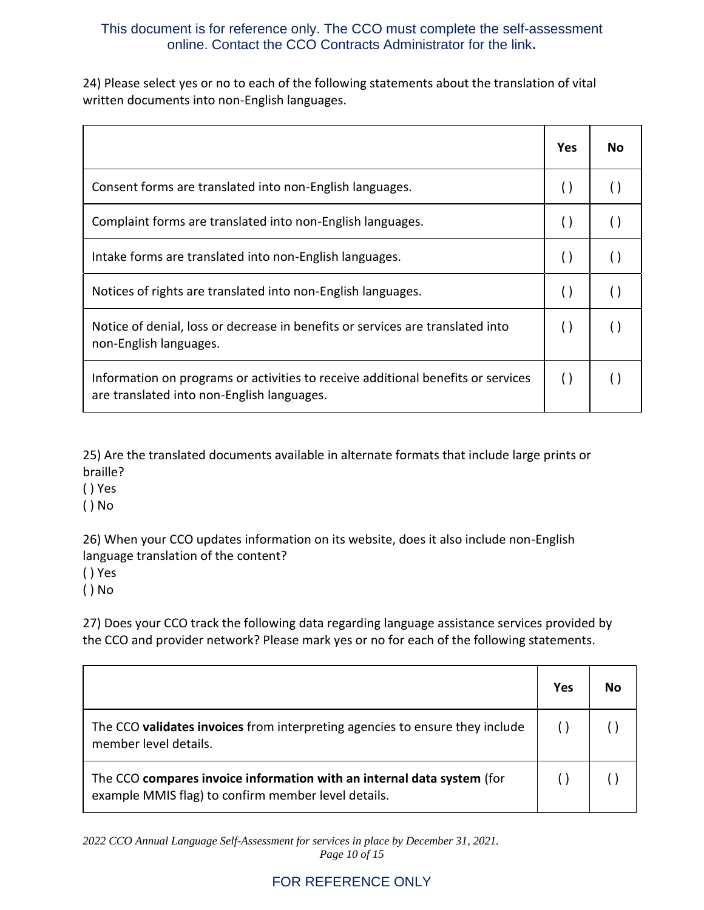24) Please select yes or no to each of the following statements about the translation of vital written documents into non-English languages.

|                                                                                                                                | <b>Yes</b>         | No. |
|--------------------------------------------------------------------------------------------------------------------------------|--------------------|-----|
| Consent forms are translated into non-English languages.                                                                       | $\left( \ \right)$ |     |
| Complaint forms are translated into non-English languages.                                                                     | $\left( \ \right)$ |     |
| Intake forms are translated into non-English languages.                                                                        | $\left( \right)$   |     |
| Notices of rights are translated into non-English languages.                                                                   | $\left( \right)$   |     |
| Notice of denial, loss or decrease in benefits or services are translated into<br>non-English languages.                       | $\left( \right)$   |     |
| Information on programs or activities to receive additional benefits or services<br>are translated into non-English languages. | $\left( \right)$   |     |

25) Are the translated documents available in alternate formats that include large prints or braille?

- ( ) Yes
- ( ) No

26) When your CCO updates information on its website, does it also include non-English language translation of the content?

( ) Yes

( ) No

27) Does your CCO track the following data regarding language assistance services provided by the CCO and provider network? Please mark yes or no for each of the following statements.

|                                                                                                                               | Yes | Nο |
|-------------------------------------------------------------------------------------------------------------------------------|-----|----|
| The CCO validates invoices from interpreting agencies to ensure they include<br>member level details.                         |     |    |
| The CCO compares invoice information with an internal data system (for<br>example MMIS flag) to confirm member level details. |     |    |

*2022 CCO Annual Language Self-Assessment for services in place by December 31, 2021. Page 10 of 15*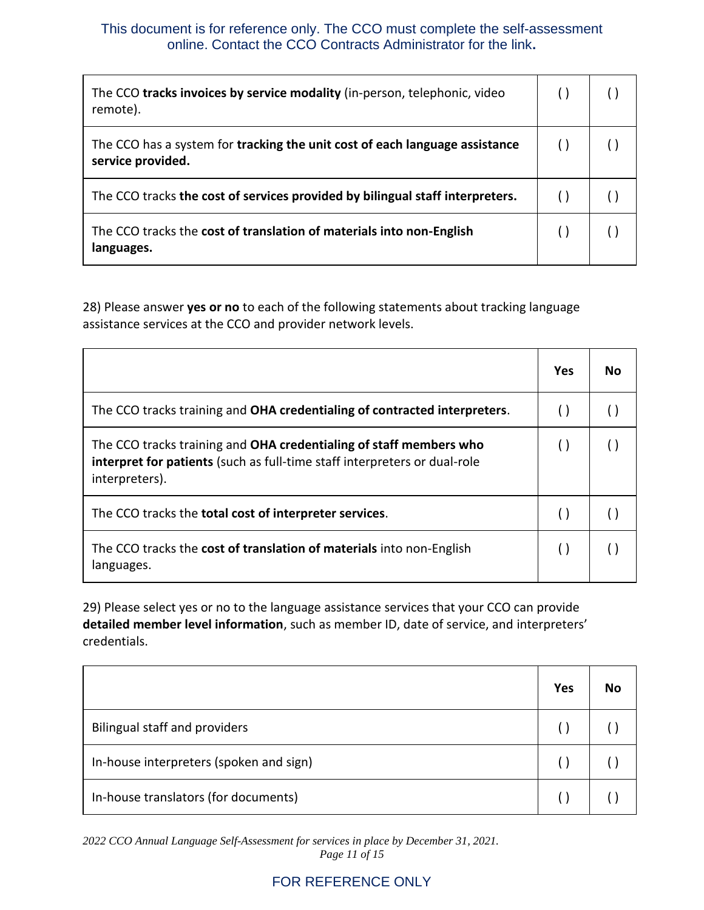| The CCO tracks invoices by service modality (in-person, telephonic, video<br>remote).            |  |
|--------------------------------------------------------------------------------------------------|--|
| The CCO has a system for tracking the unit cost of each language assistance<br>service provided. |  |
| The CCO tracks the cost of services provided by bilingual staff interpreters.                    |  |
| The CCO tracks the cost of translation of materials into non-English<br>languages.               |  |

28) Please answer **yes or no** to each of the following statements about tracking language assistance services at the CCO and provider network levels.

|                                                                                                                                                                   | Yes              | Nο |
|-------------------------------------------------------------------------------------------------------------------------------------------------------------------|------------------|----|
| The CCO tracks training and OHA credentialing of contracted interpreters.                                                                                         |                  |    |
| The CCO tracks training and OHA credentialing of staff members who<br>interpret for patients (such as full-time staff interpreters or dual-role<br>interpreters). | $\left( \right)$ |    |
| The CCO tracks the <b>total cost of interpreter services</b> .                                                                                                    |                  |    |
| The CCO tracks the cost of translation of materials into non-English<br>languages.                                                                                |                  |    |

29) Please select yes or no to the language assistance services that your CCO can provide **detailed member level information**, such as member ID, date of service, and interpreters' credentials.

|                                         | <b>Yes</b> | No |
|-----------------------------------------|------------|----|
| <b>Bilingual staff and providers</b>    |            |    |
| In-house interpreters (spoken and sign) |            |    |
| In-house translators (for documents)    |            |    |

*2022 CCO Annual Language Self-Assessment for services in place by December 31, 2021. Page 11 of 15*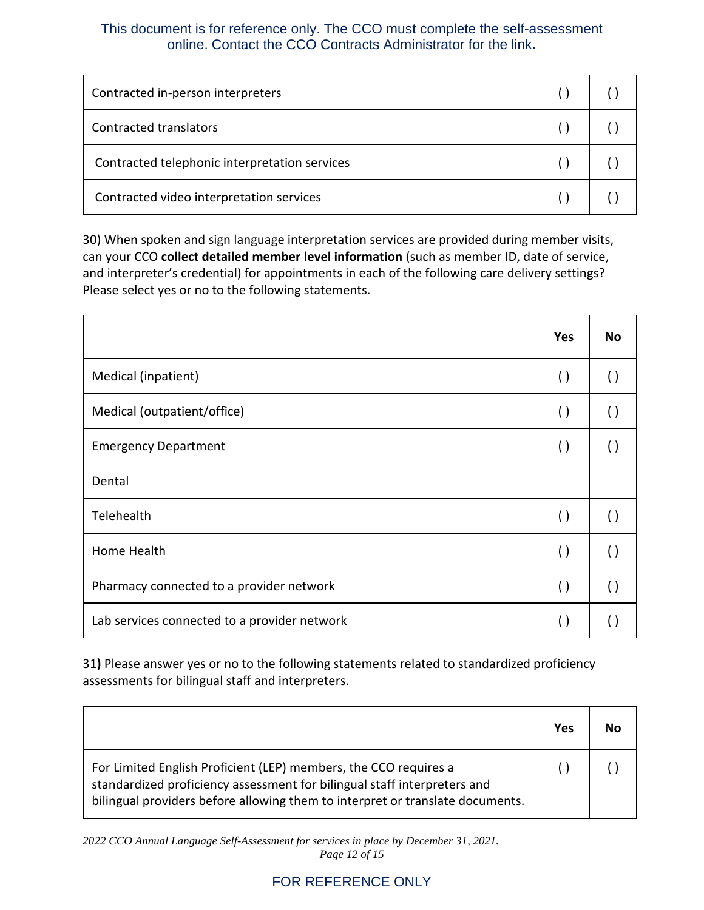| Contracted in-person interpreters             |  |
|-----------------------------------------------|--|
| Contracted translators                        |  |
| Contracted telephonic interpretation services |  |
| Contracted video interpretation services      |  |

30) When spoken and sign language interpretation services are provided during member visits, can your CCO **collect detailed member level information** (such as member ID, date of service, and interpreter's credential) for appointments in each of the following care delivery settings? Please select yes or no to the following statements.

|                                              | <b>Yes</b>         | <b>No</b>          |
|----------------------------------------------|--------------------|--------------------|
| Medical (inpatient)                          | $\left( \ \right)$ | $\left( \ \right)$ |
| Medical (outpatient/office)                  | $\left( \ \right)$ | $\left( \ \right)$ |
| <b>Emergency Department</b>                  | $\left( \ \right)$ | $\left(\ \right)$  |
| Dental                                       |                    |                    |
| Telehealth                                   | $\left( \ \right)$ | $\left( \ \right)$ |
| Home Health                                  | $\left( \ \right)$ | $\left( \ \right)$ |
| Pharmacy connected to a provider network     | $\left( \ \right)$ | $\left( \ \right)$ |
| Lab services connected to a provider network | $\left( \right)$   |                    |

31**)** Please answer yes or no to the following statements related to standardized proficiency assessments for bilingual staff and interpreters.

|                                                                                                                                                                                                                               | Yes | Nο |
|-------------------------------------------------------------------------------------------------------------------------------------------------------------------------------------------------------------------------------|-----|----|
| For Limited English Proficient (LEP) members, the CCO requires a<br>standardized proficiency assessment for bilingual staff interpreters and<br>bilingual providers before allowing them to interpret or translate documents. |     |    |

*2022 CCO Annual Language Self-Assessment for services in place by December 31, 2021. Page 12 of 15*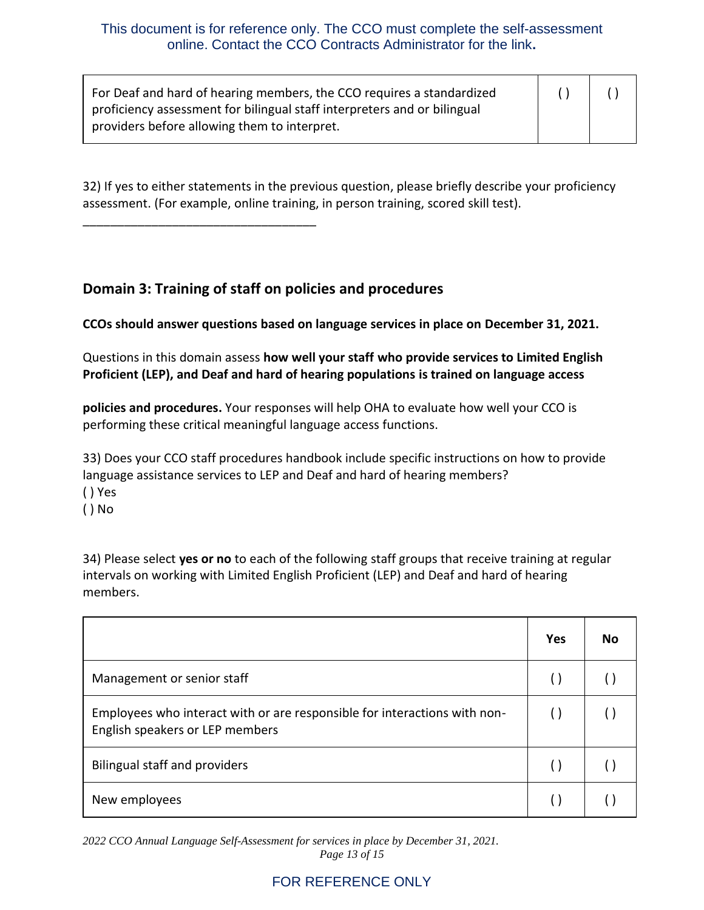| For Deaf and hard of hearing members, the CCO requires a standardized    |  |
|--------------------------------------------------------------------------|--|
| proficiency assessment for bilingual staff interpreters and or bilingual |  |
| providers before allowing them to interpret.                             |  |

32) If yes to either statements in the previous question, please briefly describe your proficiency assessment. (For example, online training, in person training, scored skill test).

# **Domain 3: Training of staff on policies and procedures**

\_\_\_\_\_\_\_\_\_\_\_\_\_\_\_\_\_\_\_\_\_\_\_\_\_\_\_\_\_\_\_\_\_\_

**CCOs should answer questions based on language services in place on December 31, 2021.** 

Questions in this domain assess **how well your staff who provide services to Limited English Proficient (LEP), and Deaf and hard of hearing populations is trained on language access** 

**policies and procedures.** Your responses will help OHA to evaluate how well your CCO is performing these critical meaningful language access functions.

33) Does your CCO staff procedures handbook include specific instructions on how to provide language assistance services to LEP and Deaf and hard of hearing members? ( ) Yes

- 
- ( ) No

34) Please select **yes or no** to each of the following staff groups that receive training at regular intervals on working with Limited English Proficient (LEP) and Deaf and hard of hearing members.

|                                                                                                              | Yes | No |
|--------------------------------------------------------------------------------------------------------------|-----|----|
| Management or senior staff                                                                                   |     |    |
| Employees who interact with or are responsible for interactions with non-<br>English speakers or LEP members |     |    |
| Bilingual staff and providers                                                                                |     |    |
| New employees                                                                                                |     |    |

*2022 CCO Annual Language Self-Assessment for services in place by December 31, 2021. Page 13 of 15*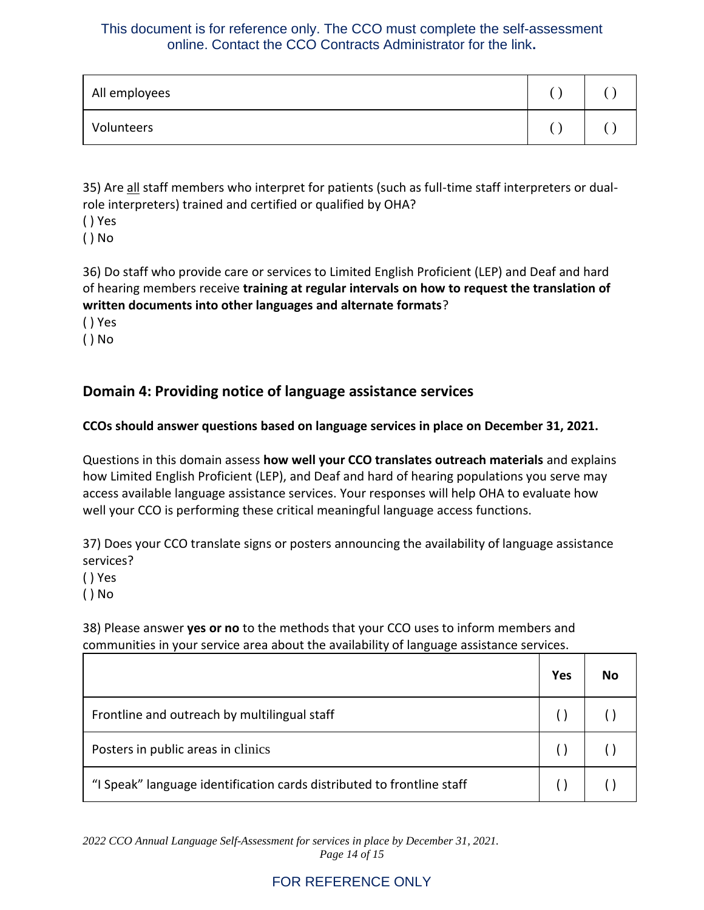| All employees |  |
|---------------|--|
| Volunteers    |  |

35) Are all staff members who interpret for patients (such as full-time staff interpreters or dualrole interpreters) trained and certified or qualified by OHA?

- ( ) Yes
- ( ) No

36) Do staff who provide care or services to Limited English Proficient (LEP) and Deaf and hard of hearing members receive **training at regular intervals on how to request the translation of written documents into other languages and alternate formats**?

- ( ) Yes
- ( ) No

# **Domain 4: Providing notice of language assistance services**

#### **CCOs should answer questions based on language services in place on December 31, 2021.**

Questions in this domain assess **how well your CCO translates outreach materials** and explains how Limited English Proficient (LEP), and Deaf and hard of hearing populations you serve may access available language assistance services. Your responses will help OHA to evaluate how well your CCO is performing these critical meaningful language access functions.

37) Does your CCO translate signs or posters announcing the availability of language assistance services?

- ( ) Yes
- ( ) No

38) Please answer **yes or no** to the methods that your CCO uses to inform members and communities in your service area about the availability of language assistance services.

|                                                                        | Yes | No |
|------------------------------------------------------------------------|-----|----|
| Frontline and outreach by multilingual staff                           |     |    |
| Posters in public areas in clinics                                     |     |    |
| "I Speak" language identification cards distributed to frontline staff |     |    |

*2022 CCO Annual Language Self-Assessment for services in place by December 31, 2021. Page 14 of 15*